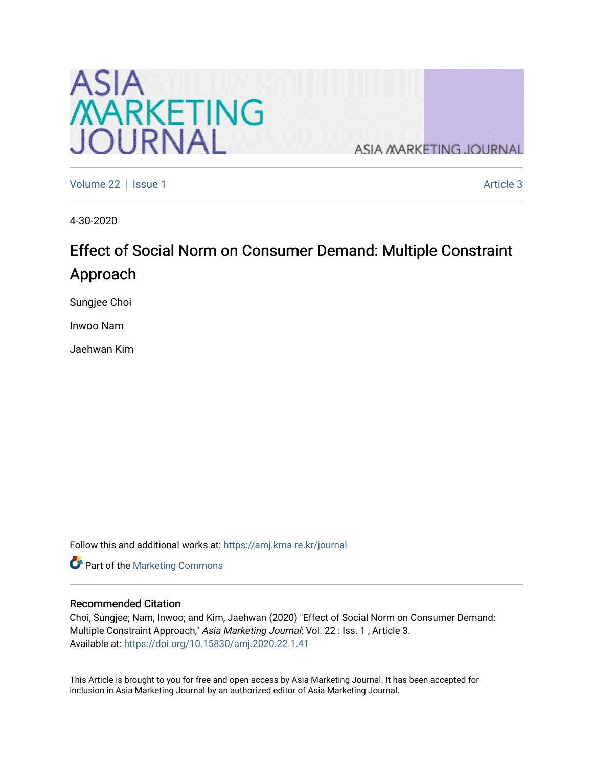

**ASIA MARKETING JOURNAL** 

[Volume 22](https://amj.kma.re.kr/journal/vol22) | [Issue 1](https://amj.kma.re.kr/journal/vol22/iss1) Article 3

4-30-2020

# Effect of Social Norm on Consumer Demand: Multiple Constraint Approach

Sungjee Choi

Inwoo Nam

Jaehwan Kim

Follow this and additional works at: [https://amj.kma.re.kr/journal](https://amj.kma.re.kr/journal?utm_source=amj.kma.re.kr%2Fjournal%2Fvol22%2Fiss1%2F3&utm_medium=PDF&utm_campaign=PDFCoverPages) 

Part of the [Marketing Commons](http://network.bepress.com/hgg/discipline/638?utm_source=amj.kma.re.kr%2Fjournal%2Fvol22%2Fiss1%2F3&utm_medium=PDF&utm_campaign=PDFCoverPages)

#### Recommended Citation

Choi, Sungjee; Nam, Inwoo; and Kim, Jaehwan (2020) "Effect of Social Norm on Consumer Demand: Multiple Constraint Approach," Asia Marketing Journal: Vol. 22 : Iss. 1, Article 3. Available at:<https://doi.org/10.15830/amj.2020.22.1.41>

This Article is brought to you for free and open access by Asia Marketing Journal. It has been accepted for inclusion in Asia Marketing Journal by an authorized editor of Asia Marketing Journal.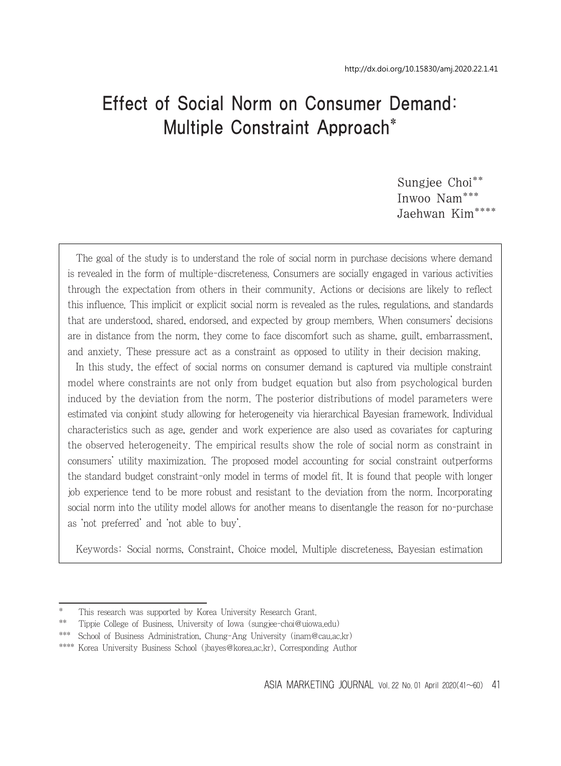# Effect of Social Norm on Consumer Demand: Multiple Constraint Approach\*

Sungjee Choi\*\* Inwoo Nam\*\*\* Jaehwan Kim\*\*\*\*

The goal of the study is to understand the role of social norm in purchase decisions where demand is revealed in the form of multiple-discreteness. Consumers are socially engaged in various activities through the expectation from others in their community. Actions or decisions are likely to reflect this influence. This implicit or explicit social norm is revealed as the rules, regulations, and standards that are understood, shared, endorsed, and expected by group members. When consumers' decisions are in distance from the norm, they come to face discomfort such as shame, guilt, embarrassment, and anxiety. These pressure act as a constraint as opposed to utility in their decision making.

In this study, the effect of social norms on consumer demand is captured via multiple constraint model where constraints are not only from budget equation but also from psychological burden induced by the deviation from the norm. The posterior distributions of model parameters were estimated via conjoint study allowing for heterogeneity via hierarchical Bayesian framework. Individual characteristics such as age, gender and work experience are also used as covariates for capturing the observed heterogeneity. The empirical results show the role of social norm as constraint in consumers' utility maximization. The proposed model accounting for social constraint outperforms the standard budget constraint-only model in terms of model fit. It is found that people with longer job experience tend to be more robust and resistant to the deviation from the norm. Incorporating social norm into the utility model allows for another means to disentangle the reason for no-purchase as 'not preferred' and 'not able to buy'.

Keywords: Social norms, Constraint, Choice model, Multiple discreteness, Bayesian estimation

This research was supported by Korea University Research Grant.

<sup>\*\*</sup> Tippie College of Business, University of Iowa (sungjee-choi@uiowa.edu)

<sup>\*\*\*</sup> School of Business Administration, Chung-Ang University (inam@cau.ac.kr)

<sup>\*\*\*\*</sup> Korea University Business School (jbayes@korea.ac.kr), Corresponding Author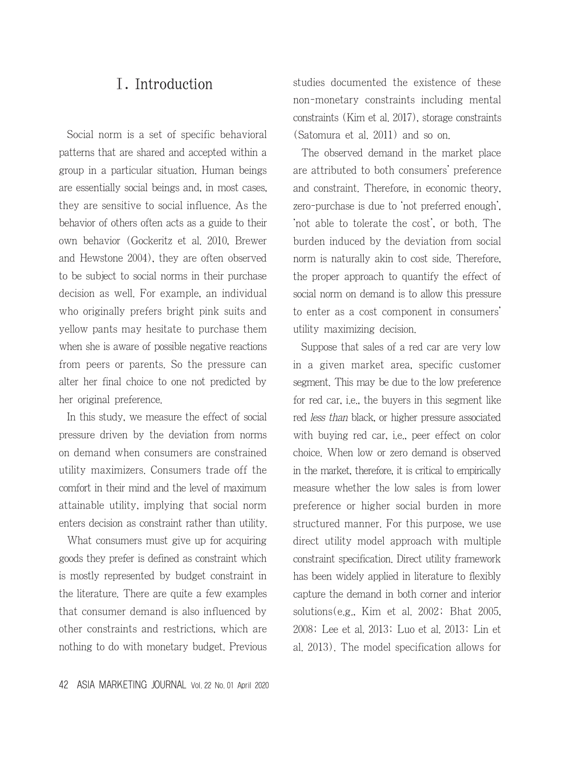### Ⅰ. Introduction

Social norm is a set of specific behavioral patterns that are shared and accepted within a group in a particular situation. Human beings are essentially social beings and, in most cases, they are sensitive to social influence. As the behavior of others often acts as a guide to their own behavior (Gockeritz et al. 2010, Brewer and Hewstone 2004), they are often observed to be subject to social norms in their purchase decision as well. For example, an individual who originally prefers bright pink suits and yellow pants may hesitate to purchase them when she is aware of possible negative reactions from peers or parents. So the pressure can alter her final choice to one not predicted by her original preference.

In this study, we measure the effect of social pressure driven by the deviation from norms on demand when consumers are constrained utility maximizers. Consumers trade off the comfort in their mind and the level of maximum attainable utility, implying that social norm enters decision as constraint rather than utility.

What consumers must give up for acquiring goods they prefer is defined as constraint which is mostly represented by budget constraint in the literature. There are quite a few examples that consumer demand is also influenced by other constraints and restrictions, which are nothing to do with monetary budget. Previous

42 ASIA MARKETING JOURNAL Vol. 22 No. 01 April 2020

studies documented the existence of these non-monetary constraints including mental constraints (Kim et al. 2017), storage constraints (Satomura et al. 2011) and so on.

The observed demand in the market place are attributed to both consumers' preference and constraint. Therefore, in economic theory, zero-purchase is due to 'not preferred enough', 'not able to tolerate the cost', or both. The burden induced by the deviation from social norm is naturally akin to cost side. Therefore, the proper approach to quantify the effect of social norm on demand is to allow this pressure to enter as a cost component in consumers' utility maximizing decision.

Suppose that sales of a red car are very low in a given market area, specific customer segment. This may be due to the low preference for red car, i.e., the buyers in this segment like red less than black, or higher pressure associated with buying red car, i.e., peer effect on color choice. When low or zero demand is observed in the market, therefore, it is critical to empirically measure whether the low sales is from lower preference or higher social burden in more structured manner. For this purpose, we use direct utility model approach with multiple constraint specification. Direct utility framework has been widely applied in literature to flexibly capture the demand in both corner and interior solutions(e.g., Kim et al. 2002; Bhat 2005, 2008; Lee et al. 2013; Luo et al. 2013; Lin et al. 2013). The model specification allows for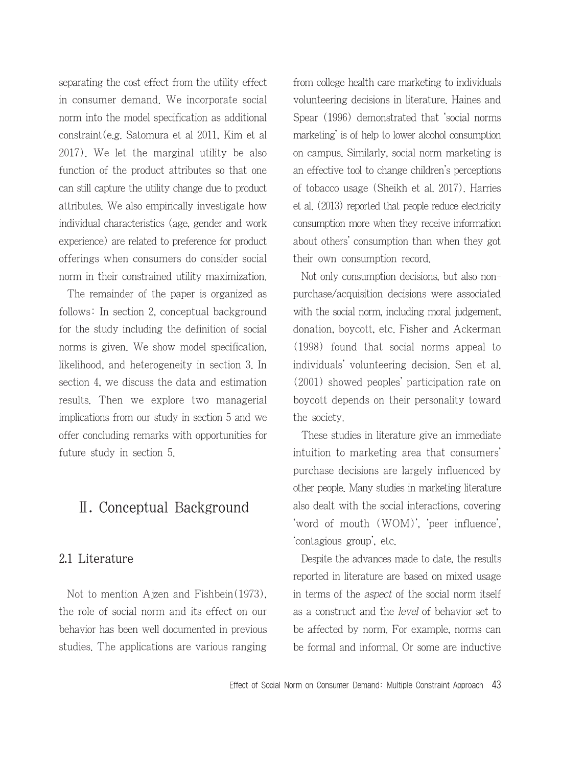separating the cost effect from the utility effect in consumer demand. We incorporate social norm into the model specification as additional constraint(e.g. Satomura et al 2011, Kim et al 2017). We let the marginal utility be also function of the product attributes so that one can still capture the utility change due to product attributes. We also empirically investigate how individual characteristics (age, gender and work experience) are related to preference for product offerings when consumers do consider social norm in their constrained utility maximization.

The remainder of the paper is organized as follows: In section 2, conceptual background for the study including the definition of social norms is given. We show model specification, likelihood, and heterogeneity in section 3. In section 4, we discuss the data and estimation results. Then we explore two managerial implications from our study in section 5 and we offer concluding remarks with opportunities for future study in section 5.

# Ⅱ. Conceptual Background

#### 2.1 Literature

Not to mention Ajzen and Fishbein(1973), the role of social norm and its effect on our behavior has been well documented in previous studies. The applications are various ranging from college health care marketing to individuals volunteering decisions in literature. Haines and Spear (1996) demonstrated that 'social norms marketing' is of help to lower alcohol consumption on campus. Similarly, social norm marketing is an effective tool to change children's perceptions of tobacco usage (Sheikh et al. 2017). Harries et al. (2013) reported that people reduce electricity consumption more when they receive information about others' consumption than when they got their own consumption record.

Not only consumption decisions, but also nonpurchase/acquisition decisions were associated with the social norm, including moral judgement, donation, boycott, etc. Fisher and Ackerman (1998) found that social norms appeal to individuals' volunteering decision. Sen et al. (2001) showed peoples' participation rate on boycott depends on their personality toward the society.

These studies in literature give an immediate intuition to marketing area that consumers' purchase decisions are largely influenced by other people. Many studies in marketing literature also dealt with the social interactions, covering 'word of mouth (WOM)', 'peer influence', 'contagious group', etc.

Despite the advances made to date, the results reported in literature are based on mixed usage in terms of the aspect of the social norm itself as a construct and the level of behavior set to be affected by norm. For example, norms can be formal and informal. Or some are inductive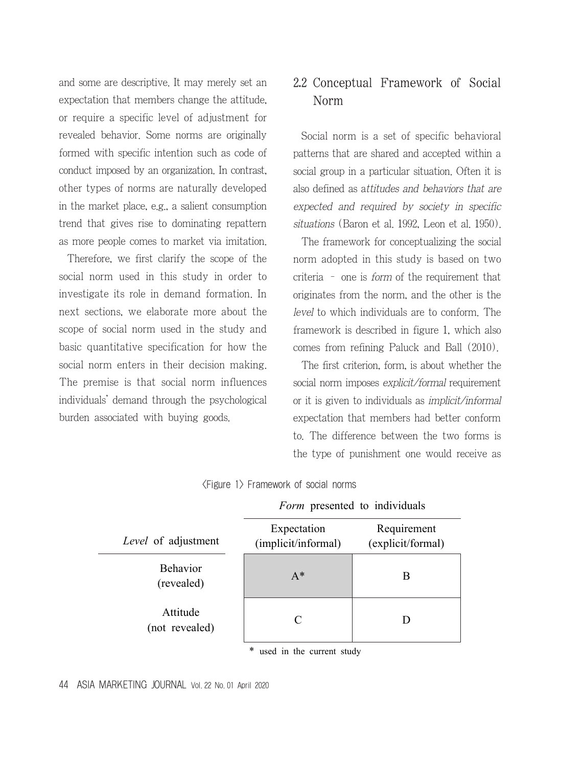and some are descriptive. It may merely set an expectation that members change the attitude, or require a specific level of adjustment for revealed behavior. Some norms are originally formed with specific intention such as code of conduct imposed by an organization. In contrast, other types of norms are naturally developed in the market place, e.g., a salient consumption trend that gives rise to dominating repattern as more people comes to market via imitation.

Therefore, we first clarify the scope of the social norm used in this study in order to investigate its role in demand formation. In next sections, we elaborate more about the scope of social norm used in the study and basic quantitative specification for how the social norm enters in their decision making. The premise is that social norm influences individuals' demand through the psychological burden associated with buying goods.

## 2.2 Conceptual Framework of Social Norm

Social norm is a set of specific behavioral patterns that are shared and accepted within a social group in a particular situation. Often it is also defined as attitudes and behaviors that are expected and required by society in specific situations (Baron et al. 1992, Leon et al. 1950).

The framework for conceptualizing the social norm adopted in this study is based on two criteria – one is form of the requirement that originates from the norm, and the other is the level to which individuals are to conform. The framework is described in figure 1, which also comes from refining Paluck and Ball (2010).

The first criterion, form, is about whether the social norm imposes *explicit/formal* requirement or it is given to individuals as implicit/informal expectation that members had better conform to. The difference between the two forms is the type of punishment one would receive as

*Form* presented to individuals

|                               | <i>i orm</i> presented to marvidums |                                  |  |  |  |  |
|-------------------------------|-------------------------------------|----------------------------------|--|--|--|--|
| Level of adjustment           | Expectation<br>(implicit/informal)  | Requirement<br>(explicit/formal) |  |  |  |  |
| <b>Behavior</b><br>(revealed) | $A^*$                               | В                                |  |  |  |  |
| Attitude<br>(not revealed)    | C                                   |                                  |  |  |  |  |

<Figure 1> Framework of social norms

\* used in the current study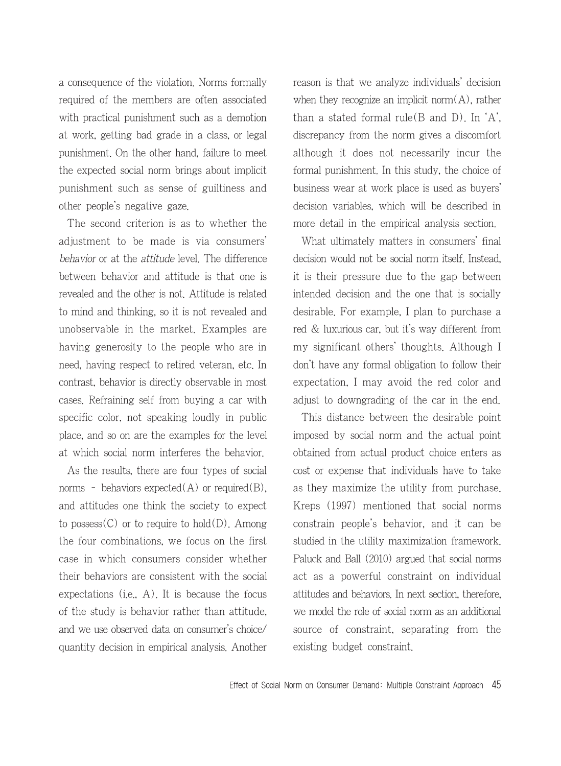a consequence of the violation. Norms formally required of the members are often associated with practical punishment such as a demotion at work, getting bad grade in a class, or legal punishment. On the other hand, failure to meet the expected social norm brings about implicit punishment such as sense of guiltiness and other people's negative gaze.

The second criterion is as to whether the adjustment to be made is via consumers' behavior or at the attitude level. The difference between behavior and attitude is that one is revealed and the other is not. Attitude is related to mind and thinking, so it is not revealed and unobservable in the market. Examples are having generosity to the people who are in need, having respect to retired veteran, etc. In contrast, behavior is directly observable in most cases. Refraining self from buying a car with specific color, not speaking loudly in public place, and so on are the examples for the level at which social norm interferes the behavior.

As the results, there are four types of social norms - behaviors expected(A) or required(B), and attitudes one think the society to expect to possess $(C)$  or to require to hold $(D)$ . Among the four combinations, we focus on the first case in which consumers consider whether their behaviors are consistent with the social expectations (i.e.,  $A$ ). It is because the focus of the study is behavior rather than attitude, and we use observed data on consumer's choice/ quantity decision in empirical analysis. Another reason is that we analyze individuals' decision when they recognize an implicit norm $(A)$ , rather than a stated formal rule  $(B \text{ and } D)$ . In  $'A$ . discrepancy from the norm gives a discomfort although it does not necessarily incur the formal punishment. In this study, the choice of business wear at work place is used as buyers' decision variables, which will be described in more detail in the empirical analysis section.

What ultimately matters in consumers' final decision would not be social norm itself. Instead, it is their pressure due to the gap between intended decision and the one that is socially desirable. For example, I plan to purchase a red & luxurious car, but it's way different from my significant others' thoughts. Although I don't have any formal obligation to follow their expectation, I may avoid the red color and adjust to downgrading of the car in the end.

This distance between the desirable point imposed by social norm and the actual point obtained from actual product choice enters as cost or expense that individuals have to take as they maximize the utility from purchase. Kreps (1997) mentioned that social norms constrain people's behavior, and it can be studied in the utility maximization framework. Paluck and Ball (2010) argued that social norms act as a powerful constraint on individual attitudes and behaviors. In next section, therefore, we model the role of social norm as an additional source of constraint, separating from the existing budget constraint.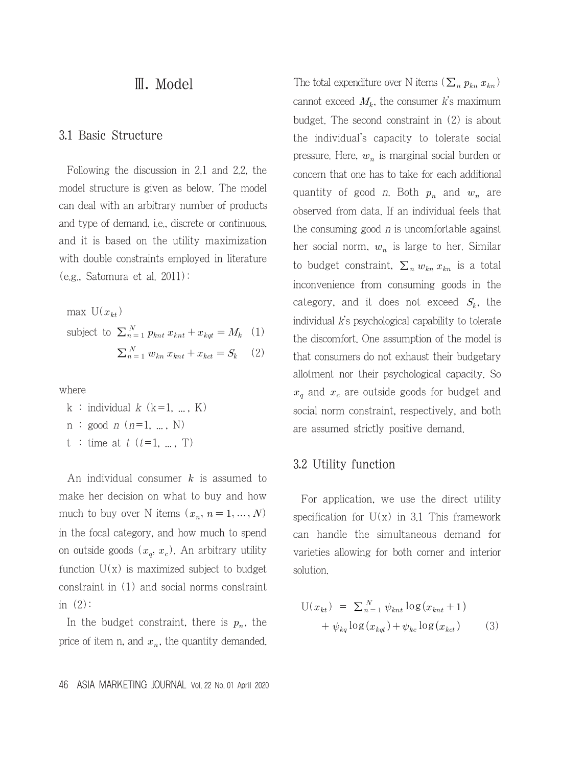### Ⅲ. Model

#### 3.1 Basic Structure

Following the discussion in 2.1 and 2.2, the model structure is given as below. The model can deal with an arbitrary number of products and type of demand, i.e., discrete or continuous, and it is based on the utility maximization with double constraints employed in literature (e.g., Satomura et al. 2011):

max  $U(x_{kt})$ subject to  $\sum_{n=1}^{N} p_{knt} x_{knt} + x_{kqt} = M_k$  (1)  $\sum_{n=1}^{N} w_{kn} x_{knt} + x_{kct} = S_k$  (2)

where

- k : individual  $k$  (k=1, ..., K)
- $n : good \t n (n=1, ..., N)$
- t : time at  $t$  ( $t=1, ..., T$ )

An individual consumer  $k$  is assumed to make her decision on what to buy and how much to buy over N items  $(x_n, n = 1, ..., N)$ in the focal category, and how much to spend on outside goods  $(x_q, x_c)$ . An arbitrary utility function  $U(x)$  is maximized subject to budget constraint in (1) and social norms constraint in  $(2)$ :

In the budget constraint, there is  $p_n$ , the price of item n, and  $x_n$ , the quantity demanded.

46 ASIA MARKETING JOURNAL Vol. 22 No. 01 April 2020

The total expenditure over N items ( $\sum_{n} p_{kn} x_{kn}$ ) cannot exceed  $M_k$ , the consumer k's maximum budget. The second constraint in (2) is about the individual's capacity to tolerate social pressure. Here,  $w_n$  is marginal social burden or concern that one has to take for each additional quantity of good *n*. Both  $p_n$  and  $w_n$  are observed from data. If an individual feels that the consuming good  $n$  is uncomfortable against her social norm,  $w_n$  is large to her. Similar to budget constraint,  $\sum_{n} w_{kn} x_{kn}$  is a total inconvenience from consuming goods in the category, and it does not exceed  $S_k$ , the individual  $\vec{k}$ 's psychological capability to tolerate the discomfort. One assumption of the model is that consumers do not exhaust their budgetary allotment nor their psychological capacity. So  $x_q$  and  $x_c$  are outside goods for budget and social norm constraint, respectively, and both are assumed strictly positive demand.

#### 3.2 Utility function

For application, we use the direct utility specification for  $U(x)$  in 3.1 This framework can handle the simultaneous demand for varieties allowing for both corner and interior solution.

$$
U(x_{kt}) = \sum_{n=1}^{N} \psi_{knt} \log(x_{knt} + 1)
$$

$$
+ \psi_{kq} \log(x_{kqt}) + \psi_{kc} \log(x_{kct}) \qquad (3)
$$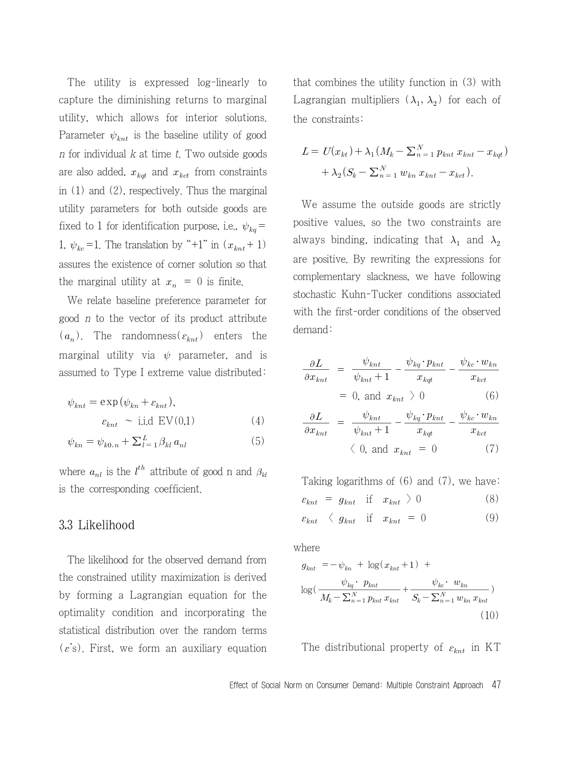The utility is expressed log-linearly to capture the diminishing returns to marginal utility, which allows for interior solutions. Parameter  $\psi_{knt}$  is the baseline utility of good  $n$  for individual  $k$  at time  $t$ . Two outside goods are also added,  $x_{kqt}$  and  $x_{kct}$  from constraints in (1) and (2), respectively. Thus the marginal utility parameters for both outside goods are fixed to 1 for identification purpose, i.e.,  $\psi_{kq}$  = 1,  $\psi_{kc} = 1$ . The translation by "+1" in  $(x_{knt} + 1)$ assures the existence of corner solution so that the marginal utility at  $x_n = 0$  is finite.

We relate baseline preference parameter for good n to the vector of its product attribute  $(a_n)$ . The randomness( $\varepsilon_{knt}$ ) enters the marginal utility via  $\psi$  parameter, and is assumed to Type I extreme value distributed:

$$
\psi_{knt} = \exp(\psi_{kn} + \varepsilon_{knt}),
$$
  
\n
$$
\varepsilon_{knt} \sim \text{i.i.d } \text{EV}(0,1)
$$
 (4)

$$
\psi_{kn} = \psi_{k0,n} + \sum_{l=1}^{L} \beta_{kl} a_{nl} \tag{5}
$$

where  $a_{nl}$  is the  $l^{th}$  attribute of good n and  $\beta_{kl}$ is the corresponding coefficient.

#### 3.3 Likelihood

The likelihood for the observed demand from the constrained utility maximization is derived by forming a Lagrangian equation for the optimality condition and incorporating the statistical distribution over the random terms  $(\varepsilon's)$ . First, we form an auxiliary equation

that combines the utility function in (3) with Lagrangian multipliers  $(\lambda_1, \lambda_2)$  for each of the constraints:

$$
L = U(x_{kt}) + \lambda_1 (M_k - \sum_{n=1}^{N} p_{knt} x_{knt} - x_{kqt})
$$
  
+  $\lambda_2 (S_k - \sum_{n=1}^{N} w_{kn} x_{knt} - x_{kct}).$ 

We assume the outside goods are strictly positive values, so the two constraints are always binding, indicating that  $\lambda_1$  and  $\lambda_2$ are positive. By rewriting the expressions for complementary slackness, we have following stochastic Kuhn-Tucker conditions associated with the first-order conditions of the observed demand:

$$
\frac{\partial L}{\partial x_{knt}} = \frac{\psi_{knt}}{\psi_{knt} + 1} - \frac{\psi_{kq} \cdot p_{knt}}{x_{kqt}} - \frac{\psi_{kc} \cdot w_{kn}}{x_{kct}}
$$

$$
= 0, \text{ and } x_{knt} \ge 0 \tag{6}
$$

$$
\frac{\partial L}{\partial x_{knt}} = \frac{\gamma_{knt}}{\psi_{knt} + 1} - \frac{\gamma_{kq} \gamma_{knt}}{x_{kqt}} - \frac{\gamma_{kc} \gamma_{knt}}{x_{kct}}
$$
  
\n= 0, and  $x_{knt} > 0$  (6)  
\n
$$
\frac{\partial L}{\partial x_{knt}} = \frac{\psi_{knt}}{\psi_{knt} + 1} - \frac{\psi_{kq} \cdot p_{knt}}{x_{kqt}} - \frac{\psi_{kc} \cdot w_{kn}}{x_{kct}}
$$
  
\n $\langle 0, \text{ and } x_{knt} = 0$  (7)

Taking logarithms of (6) and (7), we have:

$$
\varepsilon_{knt} = g_{knt} \quad \text{if} \quad x_{knt} \geq 0 \tag{8}
$$

$$
\varepsilon_{knt} \langle g_{knt} \text{ if } x_{knt} = 0 \tag{9}
$$

where

Taking logarithms of (6) and (7), we have:  
\n
$$
\varepsilon_{knt} = g_{knt}
$$
 if  $x_{knt} > 0$  (8)  
\n $\varepsilon_{knt} < g_{knt}$  if  $x_{knt} = 0$  (9)  
\nthere  
\n $g_{knt} = -\psi_{kn} + \log(x_{knt} + 1) +$   
\n $\log(\frac{\psi_{kq} \cdot p_{knt}}{M_k - \Sigma_{n=1}^N p_{knt} x_{knt}} + \frac{\psi_{kc} \cdot w_{kn}}{S_k - \Sigma_{n=1}^N w_{kn} x_{knt}})$ (10)

The distributional property of  $\varepsilon_{knt}$  in KT

Effect of Social Norm on Consumer Demand: Multiple Constraint Approach 47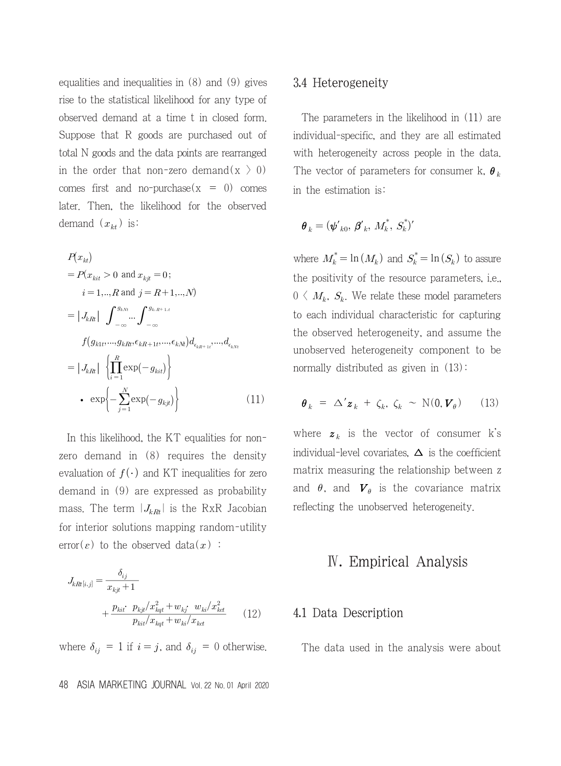equalities and inequalities in (8) and (9) gives rise to the statistical likelihood for any type of observed demand at a time t in closed form. Suppose that R goods are purchased out of total N goods and the data points are rearranged in the order that non-zero demand(x  $>$  0) comes first and no-purchase( $x = 0$ ) comes later. Then, the likelihood for the observed demand  $(x_{kt})$  is:

$$
P(x_{kt})
$$
  
=  $P(x_{kit} > 0 \text{ and } x_{kjt} = 0;$   
 $i = 1, ..., R \text{ and } j = R+1, ..., N)$   
=  $|J_{kRl}| \int_{-\infty}^{g_{kRl}} \cdots \int_{-\infty}^{g_{kR+1,t}} f(g_{k1t}, ..., g_{kRt}, \epsilon_{kR+1t}, ..., \epsilon_{kNl}) d_{\epsilon_{kR+1t}}, ..., d_{\epsilon_{kNt}}$   
=  $|J_{kRl}| \left\{ \prod_{i=1}^{R} \exp(-g_{kit}) \right\}$   
•  $\exp\left\{-\sum_{j=1}^{N} \exp(-g_{kjt})\right\}$  (11)

In this likelihood, the KT equalities for nonzero demand in (8) requires the density evaluation of  $f(\cdot)$  and KT inequalities for zero demand in (9) are expressed as probability mass. The term  $|J_{kRt}|$  is the RxR Jacobian for interior solutions mapping random-utility In this likelihood, the K<sub>1</sub> equalities<br>ro demand in (8) requires the<br>raluation of  $f(.)$  and KT inequalitie<br>emand in (9) are expressed as pr<br>ass. The term  $|J_{kRt}|$  is the RxR<br>r interior solutions mapping rando<br>ror( $\varepsilon$ )

error(
$$
\varepsilon
$$
) to the observed data( $x$ ) :  
\n
$$
J_{kRt[i,j]} = \frac{\delta_{ij}}{x_{kjt} + 1} + \frac{p_{kit} \cdot p_{kjt}/x_{kqt}^2 + w_{kj} \cdot w_{ki}/x_{kdt}^2}{p_{kit}/x_{kqt} + w_{ki}/x_{kdt}}
$$
(12)

where  $\delta_{ij} = 1$  if  $i = j$ , and  $\delta_{ij} = 0$  otherwise.

#### 48 ASIA MARKETING JOURNAL Vol. 22 No. 01 April 2020

#### 3.4 Heterogeneity

The parameters in the likelihood in (11) are individual-specific, and they are all estimated with heterogeneity across people in the data. The vector of parameters for consumer k,  $\theta_k$ in the estimation is:

$$
\pmb{\theta}_k = (\pmb{\psi'}_{k0}, \pmb{\beta'}_k, \pmb{M}_k^*, \pmb{S}_k^*)'
$$

where  $M_k^* = \ln(M_k)$  and  $S_k^* = \ln(S_k)$  to assure the positivity of the resource parameters, i.e.,  $0 \langle M_k, S_k, W$ e relate these model parameters to each individual characteristic for capturing the observed heterogeneity, and assume the unobserved heterogeneity component to be normally distributed as given in (13):

$$
\boldsymbol{\theta}_k = \Delta' \boldsymbol{z}_k + \zeta_k, \zeta_k \sim \mathrm{N}(\boldsymbol{0}, \boldsymbol{V}_{\theta}) \qquad (13)
$$

where  $z_k$  is the vector of consumer k's individual-level covariates,  $\Delta$  is the coefficient matrix measuring the relationship between z and  $\theta$ , and  $\boldsymbol{V}_{\theta}$  is the covariance matrix reflecting the unobserved heterogeneity.

### Ⅳ. Empirical Analysis

#### 4.1 Data Description

The data used in the analysis were about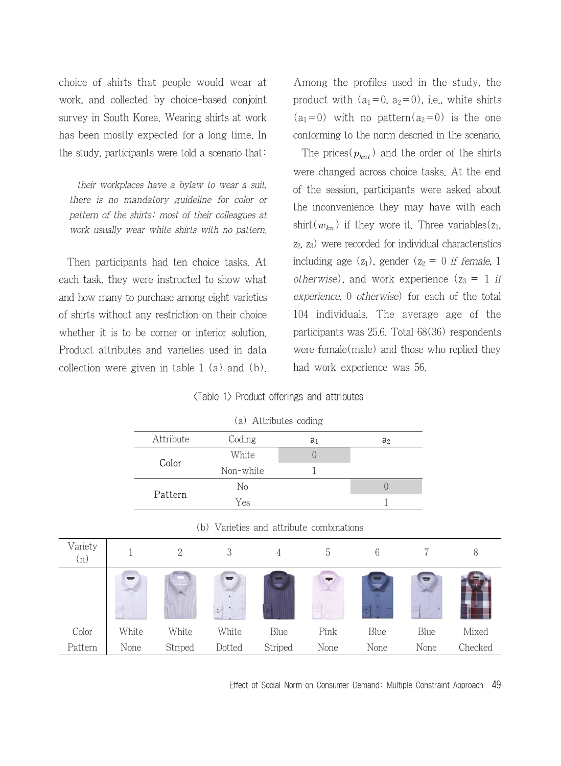choice of shirts that people would wear at work, and collected by choice-based conjoint survey in South Korea. Wearing shirts at work has been mostly expected for a long time. In the study, participants were told a scenario that:

their workplaces have a bylaw to wear a suit, there is no mandatory guideline for color or pattern of the shirts; most of their colleagues at work usually wear white shirts with no pattern.

Then participants had ten choice tasks. At each task, they were instructed to show what and how many to purchase among eight varieties of shirts without any restriction on their choice whether it is to be corner or interior solution. Product attributes and varieties used in data collection were given in table 1 (a) and (b). Among the profiles used in the study, the product with  $(a_1=0, a_2=0)$ , i.e., white shirts  $(a_1=0)$  with no pattern $(a_2=0)$  is the one conforming to the norm descried in the scenario.

The prices( $p_{knt}$ ) and the order of the shirts were changed across choice tasks. At the end of the session, participants were asked about the inconvenience they may have with each shirt( $w_{kn}$ ) if they wore it. Three variables( $z_1$ ,  $z_2$ ,  $z_3$ ) were recorded for individual characteristics including age  $(z_1)$ , gender  $(z_2 = 0$  if female, 1 *otherwise*), and work experience  $(z_3 = 1$  if experience, 0 otherwise) for each of the total 104 individuals. The average age of the participants was 25.6. Total 68(36) respondents were female(male) and those who replied they had work experience was 56.

#### <Table 1> Product offerings and attributes

(a) Attributes coding

| Attribute | Coding    | a1 | a <sub>2</sub> |
|-----------|-----------|----|----------------|
|           | White     |    |                |
| Color     | Non-white |    |                |
|           | No        |    |                |
| Pattern   | Yes       |    |                |

| Color   | White     |  |
|---------|-----------|--|
|         | Non-white |  |
|         | Nο        |  |
| Pattern | Yes       |  |

(b) Varieties and attribute combinations

| Variety<br>(n) |          | $\overline{c}$ | 3      | 4       | b          | 6    |                | 8       |
|----------------|----------|----------------|--------|---------|------------|------|----------------|---------|
|                | $\equiv$ |                | ₩      | E.      | <b>Age</b> | ▀    | $\blacksquare$ |         |
| Color          | White    | White          | White  | Blue    | Pink       | Blue | Blue           | Mixed   |
| Pattern        | None     | Striped        | Dotted | Striped | None       | None | None           | Checked |

Effect of Social Norm on Consumer Demand: Multiple Constraint Approach 49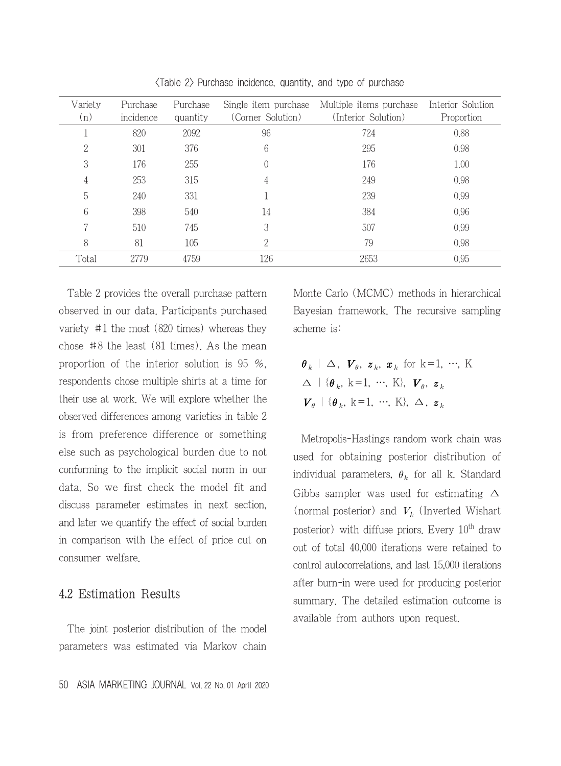| Variety<br>(n) | Purchase<br>incidence | Purchase<br>quantity | Single item purchase<br>(Corner Solution) | Multiple items purchase<br>(Interior Solution) | Interior Solution<br>Proportion |
|----------------|-----------------------|----------------------|-------------------------------------------|------------------------------------------------|---------------------------------|
|                | 820                   | 2092                 | 96                                        | 724                                            | 0.88                            |
| 2              | 301                   | 376                  | 6                                         | 295                                            | 0.98                            |
| 3              | 176                   | 255                  | $\left($                                  | 176                                            | 1.00                            |
| 4              | 253                   | 315                  | 4                                         | 249                                            | 0.98                            |
| 5              | 240                   | 331                  |                                           | 239                                            | 0.99                            |
| 6              | 398                   | 540                  | 14                                        | 384                                            | 0.96                            |
| 7              | 510                   | 745                  | 3                                         | 507                                            | 0.99                            |
| 8              | 81                    | 105                  | 2                                         | 79                                             | 0.98                            |
| Total          | 2779                  | 4759                 | 126                                       | 2653                                           | 0.95                            |

<Table 2> Purchase incidence, quantity, and type of purchase

Table 2 provides the overall purchase pattern observed in our data. Participants purchased variety #1 the most (820 times) whereas they chose #8 the least (81 times). As the mean proportion of the interior solution is 95 %, respondents chose multiple shirts at a time for their use at work. We will explore whether the observed differences among varieties in table 2 is from preference difference or something else such as psychological burden due to not conforming to the implicit social norm in our data. So we first check the model fit and discuss parameter estimates in next section, and later we quantify the effect of social burden in comparison with the effect of price cut on consumer welfare.

#### 4.2 Estimation Results

The joint posterior distribution of the model parameters was estimated via Markov chain Monte Carlo (MCMC) methods in hierarchical Bayesian framework. The recursive sampling scheme is:

 $\theta_k$  |  $\Delta$ ,  $\boldsymbol{V}_{\theta}$ ,  $\boldsymbol{z}_k$ ,  $\boldsymbol{x}_k$  for k=1, ..., K  $\Delta$  | { $\theta_k$ , k=1, …, K},  $V_{\theta}$ ,  $z_k$  ${\boldsymbol V}_{\theta}$  | { ${\boldsymbol \theta}_k$ , k=1, …, K},  $\Delta$ ,  ${\boldsymbol z}_k$ 

Metropolis-Hastings random work chain was used for obtaining posterior distribution of individual parameters,  $\theta_k$  for all k. Standard Gibbs sampler was used for estimating  $\Delta$ (normal posterior) and  $V_k$  (Inverted Wishart posterior) with diffuse priors. Every  $10^{th}$  draw out of total 40,000 iterations were retained to control autocorrelations, and last 15,000 iterations after burn-in were used for producing posterior summary. The detailed estimation outcome is available from authors upon request.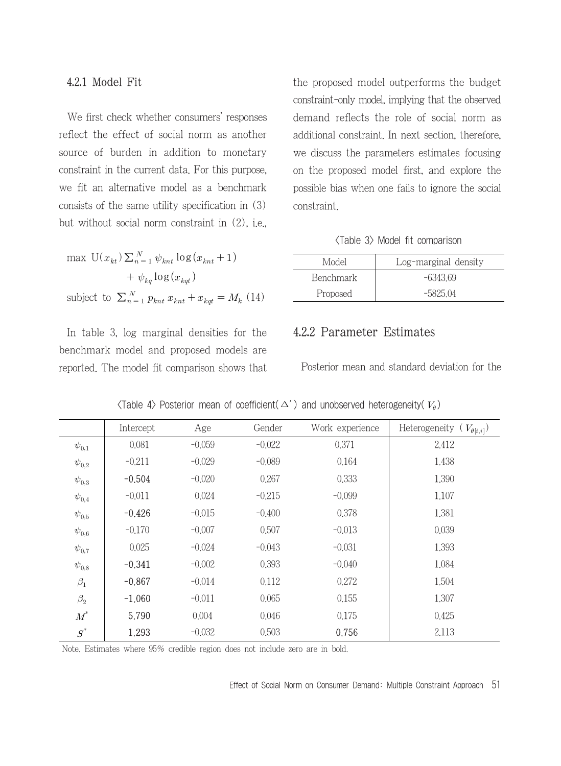#### 4.2.1 Model Fit

We first check whether consumers' responses reflect the effect of social norm as another source of burden in addition to monetary constraint in the current data. For this purpose, we fit an alternative model as a benchmark consists of the same utility specification in (3) but without social norm constraint in (2), i.e.,

$$
\max \mathbf{U}(x_{kt}) \sum_{n=1}^{N} \psi_{knt} \log (x_{knt} + 1)
$$

$$
+ \psi_{kq} \log (x_{kqt})
$$
  
subject to  $\sum_{n=1}^{N} p_{knt} x_{knt} + x_{kqt} = M_k$  (14)

In table 3, log marginal densities for the benchmark model and proposed models are reported. The model fit comparison shows that the proposed model outperforms the budget constraint-only model, implying that the observed demand reflects the role of social norm as additional constraint. In next section, therefore, we discuss the parameters estimates focusing on the proposed model first, and explore the possible bias when one fails to ignore the social constraint.

#### <Table 3> Model fit comparison

| Model     | Log-marginal density |
|-----------|----------------------|
| Benchmark | $-6343.69$           |
| Proposed  | $-5825.04$           |

### 4.2.2 Parameter Estimates

Posterior mean and standard deviation for the

|                  | Intercept | Age      | Gender   | Work experience | Heterogeneity ( $V_{\theta[i,i]}$ ) |
|------------------|-----------|----------|----------|-----------------|-------------------------------------|
| $\psi_{0,1}$     | 0.081     | $-0.059$ | $-0.022$ | 0.371           | 2.412                               |
| $\psi_{0,2}$     | $-0.211$  | $-0.029$ | $-0.089$ | 0.164           | 1.438                               |
| $\psi_{0,3}$     | $-0.504$  | $-0.020$ | 0.267    | 0.333           | 1,390                               |
| $\psi_{0,4}$     | $-0.011$  | 0.024    | $-0.215$ | $-0.099$        | 1.107                               |
| $\psi_{0,5}$     | $-0.426$  | $-0.015$ | $-0.400$ | 0.378           | 1,381                               |
| $\psi_{0,6}$     | $-0.170$  | $-0.007$ | 0.507    | $-0.013$        | 0.039                               |
| $\psi_{0,7}$     | 0.025     | $-0.024$ | $-0.043$ | $-0.031$        | 1,393                               |
| $\psi_{0,8}$     | $-0.341$  | $-0.002$ | 0.393    | $-0.040$        | 1.084                               |
| $\beta_1$        | $-0.867$  | $-0.014$ | 0.112    | 0.272           | 1,504                               |
| $\beta_2$        | $-1,060$  | $-0.011$ | 0.065    | 0.155           | 1,307                               |
| $\overline{M}^*$ | 5.790     | 0.004    | 0.046    | 0.175           | 0.425                               |
| $S^*$            | 1.293     | $-0.032$ | 0.503    | 0.756           | 2.113                               |

 $\langle$ Table 4 $\rangle$  Posterior mean of coefficient( $\Delta'$ ) and unobserved heterogeneity( $V_a$ )

Note. Estimates where 95% credible region does not include zero are in bold.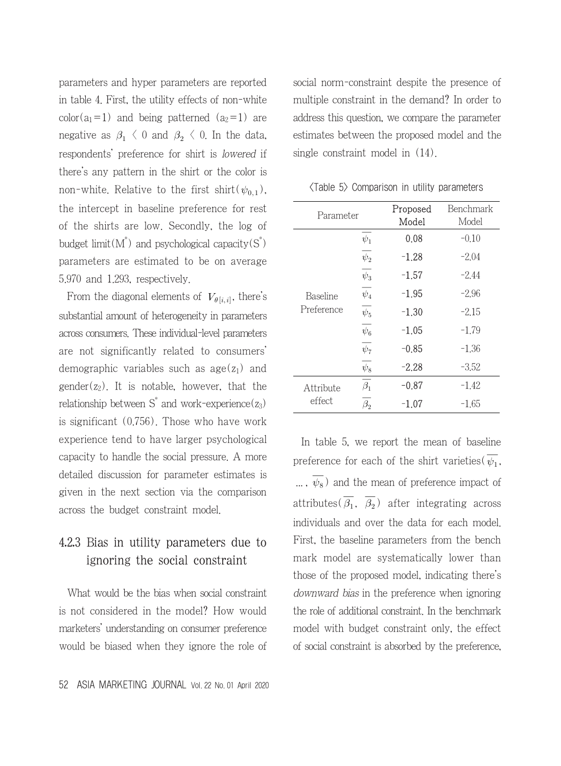parameters and hyper parameters are reported in table 4. First, the utility effects of non-white color( $a_1$ =1) and being patterned ( $a_2$ =1) are negative as  $\beta_1 \langle 0 \rangle$  and  $\beta_2 \langle 0 \rangle$ . In the data, respondents' preference for shirt is lowered if there's any pattern in the shirt or the color is non-white. Relative to the first shirt( $\psi_{0,1}$ ), the intercept in baseline preference for rest of the shirts are low. Secondly, the log of budget limit( $M^*$ ) and psychological capacity( $S^*$ ) parameters are estimated to be on average 5.970 and 1.293, respectively.

From the diagonal elements of  $V_{\theta[i,i]}$ , there's substantial amount of heterogeneity in parameters across consumers. These individual-level parameters are not significantly related to consumers' demographic variables such as  $age(z_1)$  and gender( $z_2$ ). It is notable, however, that the relationship between  $S^*$  and work-experience( $z_3$ ) is significant (0.756). Those who have work experience tend to have larger psychological capacity to handle the social pressure. A more detailed discussion for parameter estimates is given in the next section via the comparison across the budget constraint model.

## 4.2.3 Bias in utility parameters due to ignoring the social constraint

What would be the bias when social constraint is not considered in the model? How would marketers' understanding on consumer preference would be biased when they ignore the role of

52 ASIA MARKETING JOURNAL Vol. 22 No. 01 April 2020

social norm-constraint despite the presence of multiple constraint in the demand? In order to address this question, we compare the parameter estimates between the proposed model and the single constraint model in (14).

| Parameter       |                      | Proposed<br>Model | Benchmark<br>Model |
|-----------------|----------------------|-------------------|--------------------|
|                 | $\overline{\psi_1}$  | 0.08              | $-0.10$            |
|                 | $\overline{\psi_2}$  | $-1.28$           | $-2.04$            |
|                 | $\overline{\psi_3}$  | $-1.57$           | $-2.44$            |
| <b>Baseline</b> | $\psi_4$             | $-1.95$           | $-2.96$            |
| Preference      | $\psi_5$             | $-1.30$           | $-2.15$            |
|                 | $\overline{\psi_6}$  | $-1.05$           | $-1.79$            |
|                 | $\overline{\psi_7}$  | $-0.85$           | $-1.36$            |
|                 | $\psi_8$             | $-2.28$           | $-3.52$            |
| Attribute       | $\overline{\beta_1}$ | -0.87             | -1.42              |
| effect          | $\beta_{2}$          | $-1.07$           | $-1.65$            |

<Table 5> Comparison in utility parameters

In table 5, we report the mean of baseline preference for each of the shirt varieties  $(\overline{\psi_1})$ ,  $\overline{\psi_8}$ ) and the mean of preference impact of attributes( $\overline{\beta_1}$ ,  $\overline{\beta_2}$ ) after integrating across individuals and over the data for each model. First, the baseline parameters from the bench mark model are systematically lower than those of the proposed model, indicating there's downward bias in the preference when ignoring the role of additional constraint. In the benchmark model with budget constraint only, the effect of social constraint is absorbed by the preference,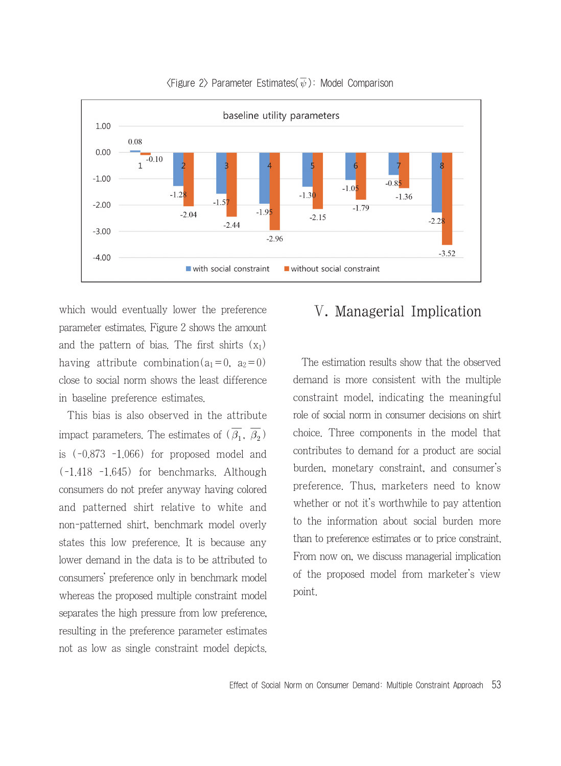

 $\langle$ Figure 2> Parameter Estimates( $\overline{\psi}$ ): Model Comparison

which would eventually lower the preference parameter estimates. Figure 2 shows the amount and the pattern of bias. The first shirts  $(x_1)$ having attribute combination( $a_1=0$ ,  $a_2=0$ ) close to social norm shows the least difference in baseline preference estimates.

This bias is also observed in the attribute impact parameters. The estimates of  $(\overline{\beta_1}, \overline{\beta_2})$ is (-0.873 -1.066) for proposed model and (-1.418 -1.645) for benchmarks. Although consumers do not prefer anyway having colored and patterned shirt relative to white and non-patterned shirt, benchmark model overly states this low preference. It is because any lower demand in the data is to be attributed to consumers' preference only in benchmark model whereas the proposed multiple constraint model separates the high pressure from low preference, resulting in the preference parameter estimates not as low as single constraint model depicts.

# Ⅴ. Managerial Implication

The estimation results show that the observed demand is more consistent with the multiple constraint model, indicating the meaningful role of social norm in consumer decisions on shirt choice. Three components in the model that contributes to demand for a product are social burden, monetary constraint, and consumer's preference. Thus, marketers need to know whether or not it's worthwhile to pay attention to the information about social burden more than to preference estimates or to price constraint. From now on, we discuss managerial implication of the proposed model from marketer's view point.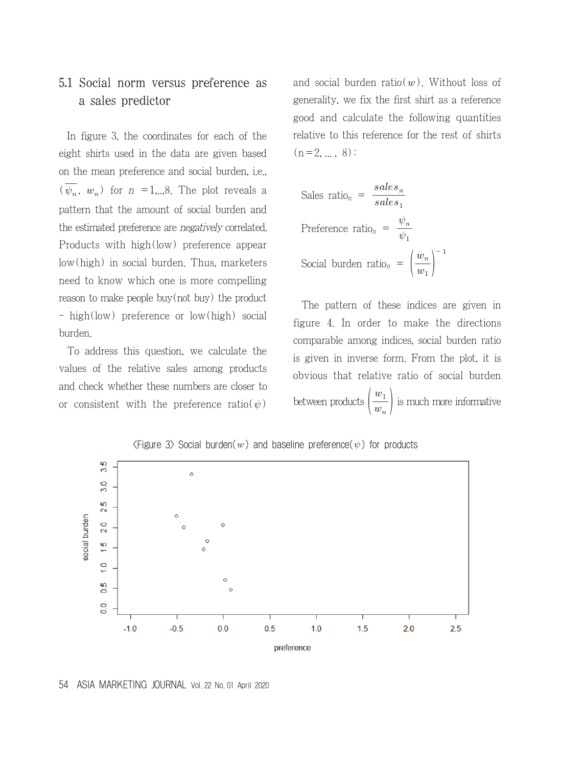### 5.1 Social norm versus preference as a sales predictor

In figure 3, the coordinates for each of the eight shirts used in the data are given based on the mean preference and social burden, i.e., on the mean preference and social builder, i.e.,<br>  $(\overline{\psi_n}, w_n)$  for  $n = 1,3$ . The plot reveals a pattern that the amount of social burden and the estimated preference are negatively correlated. Products with high(low) preference appear low(high) in social burden. Thus, marketers need to know which one is more compelling reason to make people buy(not buy) the product - high(low) preference or low(high) social burden.

To address this question, we calculate the values of the relative sales among products and check whether these numbers are closer to or consistent with the preference ratio( $\psi$ )

and social burden ratio( $w$ ). Without loss of generality, we fix the first shirt as a reference good and calculate the following quantities relative to this reference for the rest of shirts  $(n=2, ..., 8):$ 

1 = 2, ..., 8):

\nSales ratio<sub>n</sub> = 
$$
\frac{sales_n}{sales_1}
$$

\nPreference ratio<sub>n</sub> = 
$$
\frac{\psi_n}{\psi_1}
$$

\nSocial burden ratio<sub>n</sub> = 
$$
\left(\frac{w_n}{w_1}\right)^{-1}
$$

The pattern of these indices are given in figure 4. In order to make the directions comparable among indices, social burden ratio is given in inverse form. From the plot, it is obvious that relative ratio of social burden between products  $\left(\frac{w_1}{w_n}\right)$  $w_1$ is much more informative



 $\langle$ Figure 3 $\rangle$  Social burden $(w)$  and baseline preference $(\psi)$  for products

54 ASIA MARKETING JOURNAL Vol. 22 No. 01 April 2020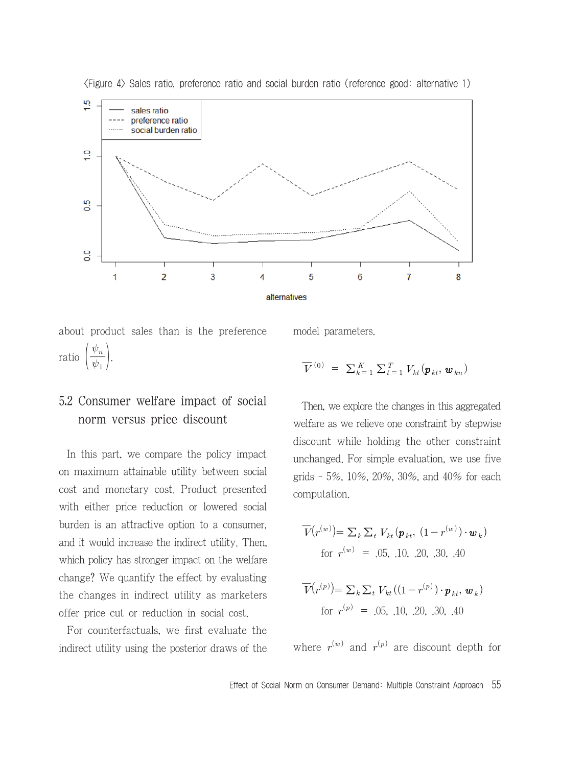

<Figure 4> Sales ratio, preference ratio and social burden ratio (reference good: alternative 1)

about product sales than is the preference ratio  $\left(\frac{\psi_n}{\psi_1}\right)$  $\psi_n$  $\Big\}$ .

### 5.2 Consumer welfare impact of social norm versus price discount

In this part, we compare the policy impact on maximum attainable utility between social cost and monetary cost. Product presented with either price reduction or lowered social burden is an attractive option to a consumer, and it would increase the indirect utility. Then, which policy has stronger impact on the welfare change? We quantify the effect by evaluating the changes in indirect utility as marketers offer price cut or reduction in social cost.

For counterfactuals, we first evaluate the indirect utility using the posterior draws of the model parameters.

$$
\overline{V}^{(0)} = \sum_{k=1}^{K} \sum_{t=1}^{T} V_{kt}(\boldsymbol{p}_{kt}, \boldsymbol{w}_{kn})
$$

Then, we explore the changes in this aggregated welfare as we relieve one constraint by stepwise discount while holding the other constraint unchanged. For simple evaluation, we use five grids - 5%, 10%, 20%, 30%, and 40% for each computation.

$$
\overline{V}(r^{(w)}) = \sum_{k} \sum_{t} V_{kt} (\boldsymbol{p}_{kt}, (1 - r^{(w)}) \cdot \boldsymbol{w}_{k})
$$
  
for  $r^{(w)} = .05, .10, .20, .30, .40$   

$$
\overline{V}(r^{(p)}) = \sum_{k} \sum_{t} V_{kt} ((1 - r^{(p)}) \cdot \boldsymbol{p}_{kt}, \boldsymbol{w}_{k})
$$
  
for  $r^{(p)} = .05, .10, .20, .30, .40$ 

where  $r^{(w)}$  and  $r^{(p)}$  are discount depth for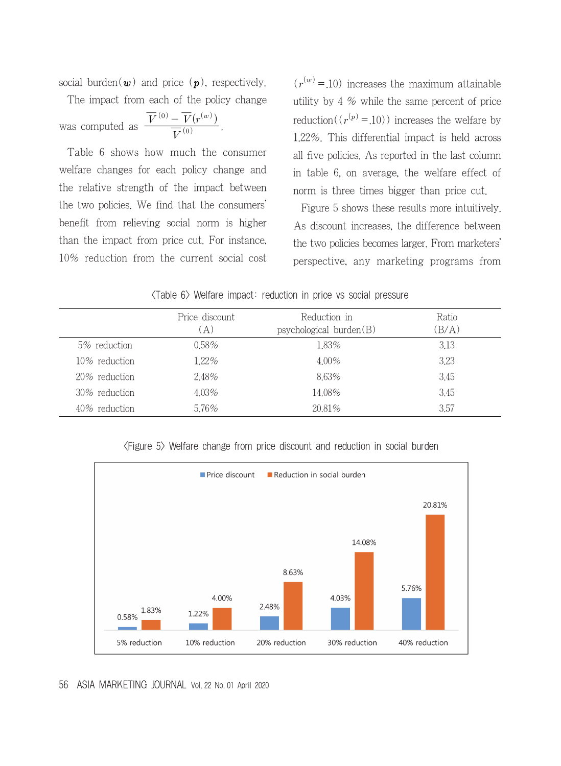social burden( $w$ ) and price ( $p$ ), respectively.

The impact from each of the policy change social burden(*w*) and price (*p*), re<br>The impact from each of the poli<br>was computed as  $\frac{\overline{V}^{(0)} - \overline{V}(r^{(w)})}{\overline{V}^{(0)}}$ <br>Table 6 shows how much the  $\overline{V}{}^{(0)}$  $\frac{\overline{V}^{(0)} - \overline{V}(r^{(w)})}{\overline{V}(0)}$ .

Table 6 shows how much the consumer welfare changes for each policy change and the relative strength of the impact between the two policies. We find that the consumers' benefit from relieving social norm is higher than the impact from price cut. For instance, 10% reduction from the current social cost  $(r^{(w)} = 10)$  increases the maximum attainable utility by 4 % while the same percent of price reduction( $(r^{(p)} = 10)$ ) increases the welfare by 1.22%. This differential impact is held across all five policies. As reported in the last column in table 6, on average, the welfare effect of norm is three times bigger than price cut.

Figure 5 shows these results more intuitively. As discount increases, the difference between the two policies becomes larger. From marketers' perspective, any marketing programs from

| $\langle$ Table 6 $\rangle$ Welfare impact: reduction in price vs social pressure |  |  |  |  |  |  |  |  |
|-----------------------------------------------------------------------------------|--|--|--|--|--|--|--|--|
|-----------------------------------------------------------------------------------|--|--|--|--|--|--|--|--|

|               | Price discount<br>(A) | Reduction in<br>psychological burden(B) | Ratio<br>(B/A) |
|---------------|-----------------------|-----------------------------------------|----------------|
| 5% reduction  | $0.58\%$              | 1.83%                                   | 3.13           |
| 10% reduction | 122%                  | $4.00\%$                                | 3.23           |
| 20% reduction | 2.48%                 | 8.63%                                   | 3.45           |
| 30% reduction | $4.03\%$              | 14.08%                                  | 3.45           |
| 40% reduction | 5.76%                 | 20.81%                                  | 3.57           |
|               |                       |                                         |                |

<Figure 5> Welfare change from price discount and reduction in social burden



56 ASIA MARKETING JOURNAL Vol. 22 No. 01 April 2020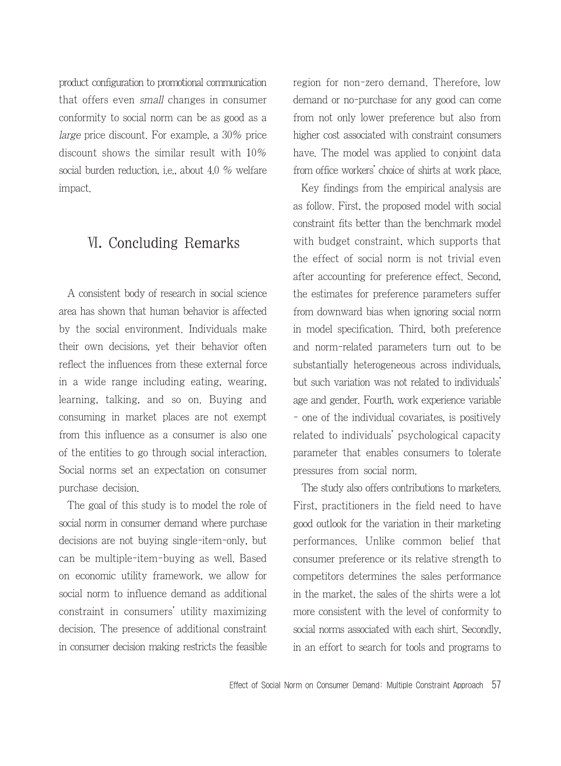product configuration to promotional communication that offers even small changes in consumer conformity to social norm can be as good as a large price discount. For example, a 30% price discount shows the similar result with 10% social burden reduction, i.e., about 4.0 % welfare impact.

# Ⅵ. Concluding Remarks

A consistent body of research in social science area has shown that human behavior is affected by the social environment. Individuals make their own decisions, yet their behavior often reflect the influences from these external force in a wide range including eating, wearing, learning, talking, and so on. Buying and consuming in market places are not exempt from this influence as a consumer is also one of the entities to go through social interaction. Social norms set an expectation on consumer purchase decision.

The goal of this study is to model the role of social norm in consumer demand where purchase decisions are not buying single-item-only, but can be multiple-item-buying as well. Based on economic utility framework, we allow for social norm to influence demand as additional constraint in consumers' utility maximizing decision. The presence of additional constraint in consumer decision making restricts the feasible region for non-zero demand. Therefore, low demand or no-purchase for any good can come from not only lower preference but also from higher cost associated with constraint consumers have. The model was applied to conjoint data from office workers' choice of shirts at work place.

Key findings from the empirical analysis are as follow. First, the proposed model with social constraint fits better than the benchmark model with budget constraint, which supports that the effect of social norm is not trivial even after accounting for preference effect. Second, the estimates for preference parameters suffer from downward bias when ignoring social norm in model specification. Third, both preference and norm-related parameters turn out to be substantially heterogeneous across individuals, but such variation was not related to individuals' age and gender. Fourth, work experience variable - one of the individual covariates, is positively related to individuals' psychological capacity parameter that enables consumers to tolerate pressures from social norm.

The study also offers contributions to marketers. First, practitioners in the field need to have good outlook for the variation in their marketing performances. Unlike common belief that consumer preference or its relative strength to competitors determines the sales performance in the market, the sales of the shirts were a lot more consistent with the level of conformity to social norms associated with each shirt. Secondly, in an effort to search for tools and programs to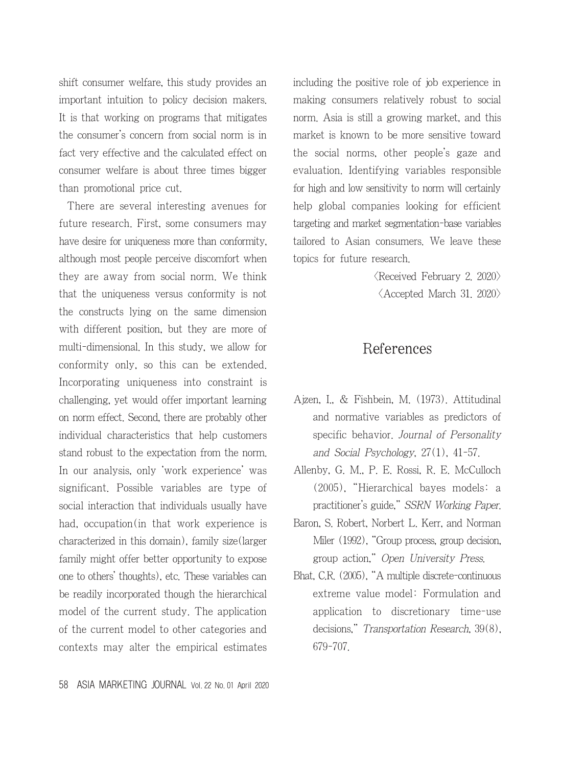shift consumer welfare, this study provides an important intuition to policy decision makers. It is that working on programs that mitigates the consumer's concern from social norm is in fact very effective and the calculated effect on consumer welfare is about three times bigger than promotional price cut.

There are several interesting avenues for future research. First, some consumers may have desire for uniqueness more than conformity, although most people perceive discomfort when they are away from social norm. We think that the uniqueness versus conformity is not the constructs lying on the same dimension with different position, but they are more of multi-dimensional. In this study, we allow for conformity only, so this can be extended. Incorporating uniqueness into constraint is challenging, yet would offer important learning on norm effect. Second, there are probably other individual characteristics that help customers stand robust to the expectation from the norm. In our analysis, only 'work experience' was significant. Possible variables are type of social interaction that individuals usually have had, occupation(in that work experience is characterized in this domain), family size(larger family might offer better opportunity to expose one to others' thoughts), etc. These variables can be readily incorporated though the hierarchical model of the current study. The application of the current model to other categories and contexts may alter the empirical estimates including the positive role of job experience in making consumers relatively robust to social norm. Asia is still a growing market, and this market is known to be more sensitive toward the social norms, other people's gaze and evaluation. Identifying variables responsible for high and low sensitivity to norm will certainly help global companies looking for efficient targeting and market segmentation-base variables tailored to Asian consumers. We leave these topics for future research.

> <Received February 2. 2020>  $\langle$  Accepted March 31, 2020 $\rangle$

### References

- Ajzen, I., & Fishbein, M. (1973). Attitudinal and normative variables as predictors of specific behavior. Journal of Personality and Social Psychology, 27(1), 41-57.
- Allenby, G. M., P. E. Rossi, R. E. McCulloch (2005), "Hierarchical bayes models: a practitioner's guide," SSRN Working Paper.
- Baron, S. Robert, Norbert L. Kerr, and Norman Miler (1992), "Group process, group decision, group action," Open University Press.
- Bhat, C.R. (2005), "A multiple discrete-continuous extreme value model: Formulation and application to discretionary time-use decisions," Transportation Research, 39(8), 679-707.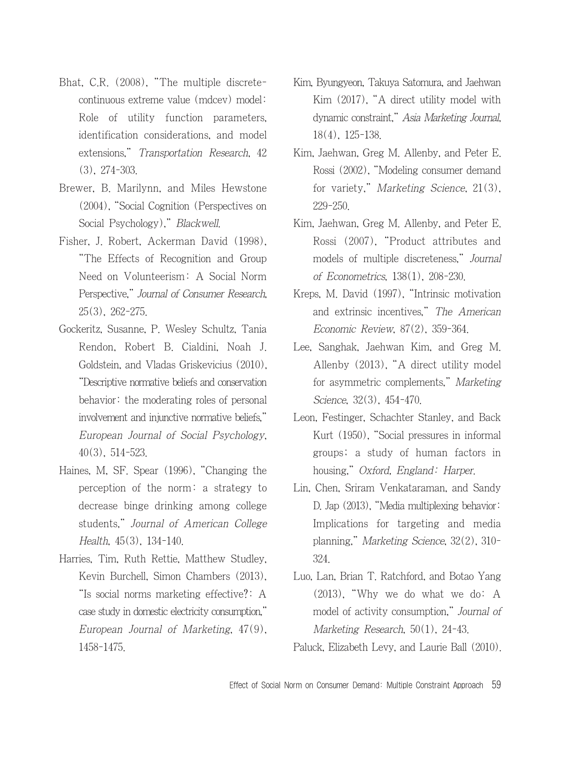- Bhat, C.R. (2008), "The multiple discretecontinuous extreme value (mdcev) model: Role of utility function parameters, identification considerations, and model extensions," Transportation Research, 42 (3), 274-303.
- Brewer, B. Marilynn, and Miles Hewstone (2004), "Social Cognition (Perspectives on Social Psychology)," Blackwell.
- Fisher, J. Robert, Ackerman David (1998), "The Effects of Recognition and Group Need on Volunteerism: A Social Norm Perspective," Journal of Consumer Research, 25(3), 262-275.
- Gockeritz, Susanne, P. Wesley Schultz, Tania Rendon, Robert B. Cialdini, Noah J. Goldstein, and Vladas Griskevicius (2010), "Descriptive normative beliefs and conservation behavior: the moderating roles of personal involvement and injunctive normative beliefs," European Journal of Social Psychology, 40(3), 514-523.
- Haines, M, SF. Spear (1996), "Changing the perception of the norm: a strategy to decrease binge drinking among college students," Journal of American College Health, 45(3), 134-140.
- Harries, Tim, Ruth Rettie, Matthew Studley, Kevin Burchell, Simon Chambers (2013), "Is social norms marketing effective?: A case study in domestic electricity consumption," European Journal of Marketing, 47(9), 1458-1475.
- Kim, Byungyeon, Takuya Satomura, and Jaehwan Kim (2017), "A direct utility model with dynamic constraint," Asia Marketing Journal, 18(4), 125-138.
- Kim, Jaehwan, Greg M. Allenby, and Peter E. Rossi (2002), "Modeling consumer demand for variety," Marketing Science, 21(3), 229-250.
- Kim, Jaehwan, Greg M. Allenby, and Peter E. Rossi (2007), "Product attributes and models of multiple discreteness," Journal of Econometrics, 138(1), 208-230.
- Kreps, M. David (1997), "Intrinsic motivation and extrinsic incentives," The American Economic Review, 87(2), 359-364.
- Lee, Sanghak, Jaehwan Kim, and Greg M. Allenby (2013), "A direct utility model for asymmetric complements," Marketing Science, 32(3), 454-470.
- Leon, Festinger, Schachter Stanley, and Back Kurt (1950), "Social pressures in informal groups; a study of human factors in housing," Oxford, England: Harper.
- Lin, Chen, Sriram Venkataraman, and Sandy D. Jap (2013), "Media multiplexing behavior: Implications for targeting and media planning," Marketing Science, 32(2), 310- 324.
- Luo, Lan, Brian T. Ratchford, and Botao Yang (2013), "Why we do what we do: A model of activity consumption," Journal of Marketing Research, 50(1), 24-43.

Paluck, Elizabeth Levy, and Laurie Ball (2010).